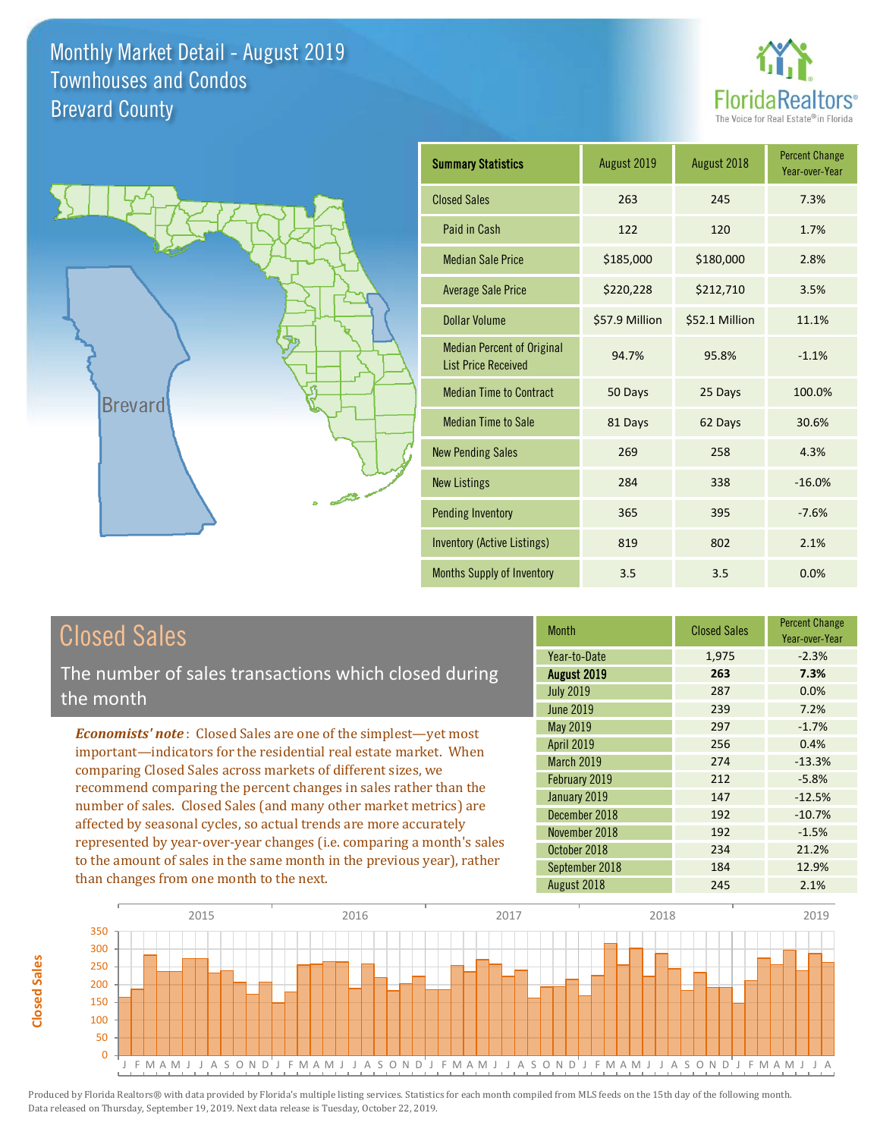



| <b>Summary Statistics</b>                                       | August 2019    | August 2018    | <b>Percent Change</b><br>Year-over-Year |
|-----------------------------------------------------------------|----------------|----------------|-----------------------------------------|
| <b>Closed Sales</b>                                             | 263            | 245            | 7.3%                                    |
| Paid in Cash                                                    | 122            | 120            | 1.7%                                    |
| <b>Median Sale Price</b>                                        | \$185,000      | \$180,000      | 2.8%                                    |
| <b>Average Sale Price</b>                                       | \$220,228      | \$212,710      | 3.5%                                    |
| Dollar Volume                                                   | \$57.9 Million | \$52.1 Million | 11.1%                                   |
| <b>Median Percent of Original</b><br><b>List Price Received</b> | 94.7%          | 95.8%          | $-1.1%$                                 |
| <b>Median Time to Contract</b>                                  | 50 Days        | 25 Days        | 100.0%                                  |
| <b>Median Time to Sale</b>                                      | 81 Days        | 62 Days        | 30.6%                                   |
| <b>New Pending Sales</b>                                        | 269            | 258            | 4.3%                                    |
| <b>New Listings</b>                                             | 284            | 338            | $-16.0%$                                |
| <b>Pending Inventory</b>                                        | 365            | 395            | $-7.6%$                                 |
| <b>Inventory (Active Listings)</b>                              | 819            | 802            | 2.1%                                    |
| Months Supply of Inventory                                      | 3.5            | 3.5            | 0.0%                                    |

## Closed Sales

The number of sales transactions which closed during the month

*Economists' note* : Closed Sales are one of the simplest—yet most important—indicators for the residential real estate market. When comparing Closed Sales across markets of different sizes, we recommend comparing the percent changes in sales rather than the number of sales. Closed Sales (and many other market metrics) are affected by seasonal cycles, so actual trends are more accurately represented by year-over-year changes (i.e. comparing a month's sales to the amount of sales in the same month in the previous year), rather than changes from one month to the next.

| <b>Month</b>      | <b>Closed Sales</b> | <b>Percent Change</b><br>Year-over-Year |
|-------------------|---------------------|-----------------------------------------|
| Year-to-Date      | 1,975               | $-2.3%$                                 |
| August 2019       | 263                 | 7.3%                                    |
| <b>July 2019</b>  | 287                 | 0.0%                                    |
| <b>June 2019</b>  | 239                 | 7.2%                                    |
| May 2019          | 297                 | $-1.7%$                                 |
| <b>April 2019</b> | 256                 | 0.4%                                    |
| March 2019        | 274                 | $-13.3%$                                |
| February 2019     | 212                 | $-5.8%$                                 |
| January 2019      | 147                 | $-12.5%$                                |
| December 2018     | 192                 | $-10.7%$                                |
| November 2018     | 192                 | $-1.5%$                                 |
| October 2018      | 234                 | 21.2%                                   |
| September 2018    | 184                 | 12.9%                                   |
| August 2018       | 245                 | 2.1%                                    |

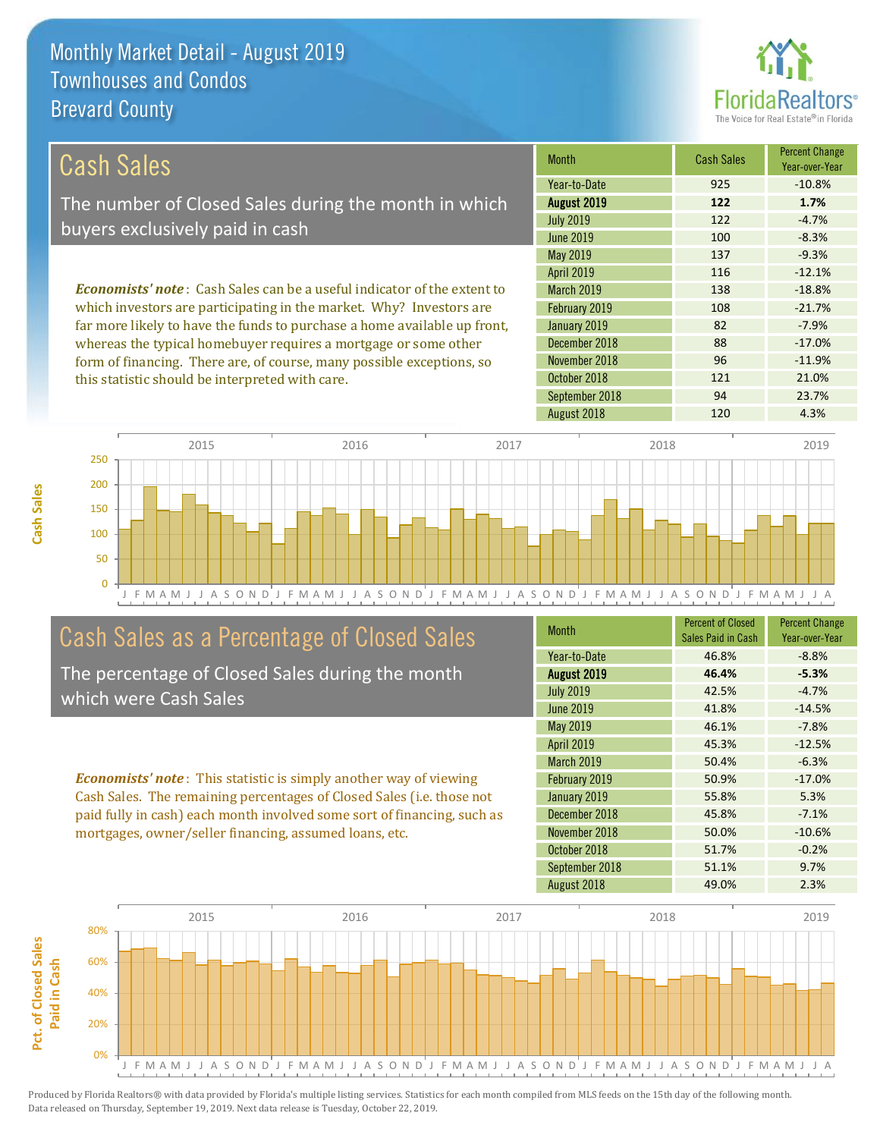this statistic should be interpreted with care.



| Cash Sales                                                                     | <b>Month</b>      | <b>Cash Sales</b> | <b>Percent Change</b><br>Year-over-Year |
|--------------------------------------------------------------------------------|-------------------|-------------------|-----------------------------------------|
|                                                                                | Year-to-Date      | 925               | $-10.8%$                                |
| The number of Closed Sales during the month in which                           | August 2019       | 122               | 1.7%                                    |
| buyers exclusively paid in cash                                                | <b>July 2019</b>  | 122               | $-4.7%$                                 |
|                                                                                | June 2019         | 100               | $-8.3%$                                 |
|                                                                                | May 2019          | 137               | $-9.3%$                                 |
|                                                                                | <b>April 2019</b> | 116               | $-12.1%$                                |
| <b>Economists' note:</b> Cash Sales can be a useful indicator of the extent to | <b>March 2019</b> | 138               | $-18.8%$                                |
| which investors are participating in the market. Why? Investors are            | February 2019     | 108               | $-21.7%$                                |
| far more likely to have the funds to purchase a home available up front,       | January 2019      | 82                | $-7.9%$                                 |
| whereas the typical homebuyer requires a mortgage or some other                | December 2018     | 88                | $-17.0%$                                |
| form of financing. There are, of course, many possible exceptions, so          | November 2018     | 96                | $-11.9%$                                |
| this statistic should be interpreted with care                                 | October 2018      | 121               | 21.0%                                   |



### Cash Sales as a Percentage of Closed Sales

The percentage of Closed Sales during the month which were Cash Sales

*Economists' note* : This statistic is simply another way of viewing Cash Sales. The remaining percentages of Closed Sales (i.e. those not paid fully in cash) each month involved some sort of financing, such as mortgages, owner/seller financing, assumed loans, etc.

| <b>Month</b>      | <b>Percent of Closed</b><br>Sales Paid in Cash | <b>Percent Change</b><br>Year-over-Year |
|-------------------|------------------------------------------------|-----------------------------------------|
| Year-to-Date      | 46.8%                                          | $-8.8%$                                 |
| August 2019       | 46.4%                                          | $-5.3%$                                 |
| <b>July 2019</b>  | 42.5%                                          | $-4.7%$                                 |
| <b>June 2019</b>  | 41.8%                                          | $-14.5%$                                |
| May 2019          | 46.1%                                          | $-7.8%$                                 |
| <b>April 2019</b> | 45.3%                                          | $-12.5%$                                |
| <b>March 2019</b> | 50.4%                                          | $-6.3%$                                 |
| February 2019     | 50.9%                                          | $-17.0%$                                |
| January 2019      | 55.8%                                          | 5.3%                                    |
| December 2018     | 45.8%                                          | $-7.1%$                                 |
| November 2018     | 50.0%                                          | $-10.6%$                                |
| October 2018      | 51.7%                                          | $-0.2%$                                 |
| September 2018    | 51.1%                                          | 9.7%                                    |
| August 2018       | 49.0%                                          | 2.3%                                    |

September 2018 **94** 23.7%

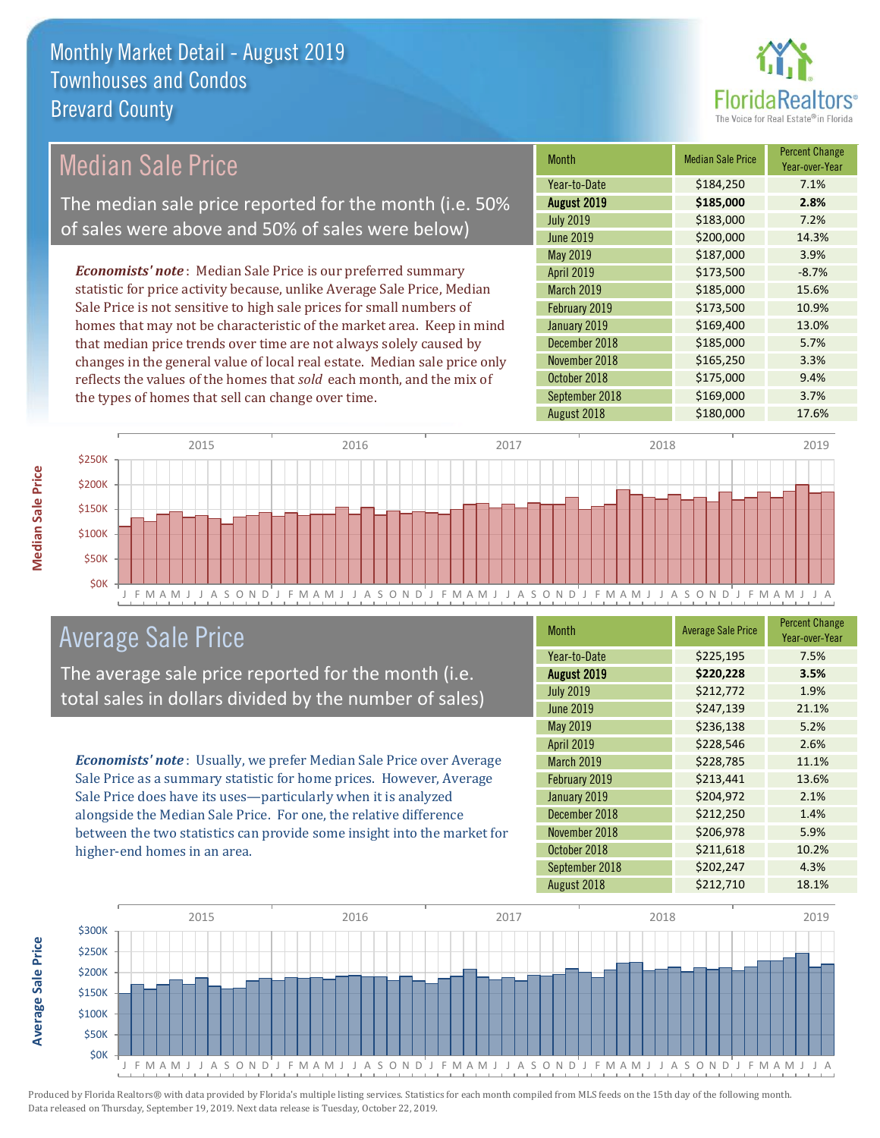

|                                                                                                                                                                                                                                                                                                                                                                                                                                                                                                                                                                                                                                                                                                                                                                |                  | <b>Month</b>  | <b>Median Sale Price</b> | <b>Percent Change</b><br>Year-over-Year |         |
|----------------------------------------------------------------------------------------------------------------------------------------------------------------------------------------------------------------------------------------------------------------------------------------------------------------------------------------------------------------------------------------------------------------------------------------------------------------------------------------------------------------------------------------------------------------------------------------------------------------------------------------------------------------------------------------------------------------------------------------------------------------|------------------|---------------|--------------------------|-----------------------------------------|---------|
|                                                                                                                                                                                                                                                                                                                                                                                                                                                                                                                                                                                                                                                                                                                                                                |                  |               | Year-to-Date             | \$184,250                               | 7.1%    |
|                                                                                                                                                                                                                                                                                                                                                                                                                                                                                                                                                                                                                                                                                                                                                                |                  |               | August 2019              | \$185,000                               | 2.8%    |
|                                                                                                                                                                                                                                                                                                                                                                                                                                                                                                                                                                                                                                                                                                                                                                |                  |               | <b>July 2019</b>         | \$183,000                               | 7.2%    |
| <b>Median Sale Price</b><br>The median sale price reported for the month (i.e. 50%<br>of sales were above and 50% of sales were below)<br><b>Economists' note</b> : Median Sale Price is our preferred summary<br>statistic for price activity because, unlike Average Sale Price, Median<br>Sale Price is not sensitive to high sale prices for small numbers of<br>homes that may not be characteristic of the market area. Keep in mind<br>that median price trends over time are not always solely caused by<br>changes in the general value of local real estate. Median sale price only<br>reflects the values of the homes that sold each month, and the mix of<br>the types of homes that sell can change over time.<br>2015<br>2016<br>2017<br>\$250K | <b>June 2019</b> | \$200,000     | 14.3%                    |                                         |         |
|                                                                                                                                                                                                                                                                                                                                                                                                                                                                                                                                                                                                                                                                                                                                                                |                  |               | May 2019                 | \$187,000                               | 3.9%    |
|                                                                                                                                                                                                                                                                                                                                                                                                                                                                                                                                                                                                                                                                                                                                                                |                  |               | <b>April 2019</b>        | \$173,500                               | $-8.7%$ |
|                                                                                                                                                                                                                                                                                                                                                                                                                                                                                                                                                                                                                                                                                                                                                                |                  |               | <b>March 2019</b>        | \$185,000                               | 15.6%   |
|                                                                                                                                                                                                                                                                                                                                                                                                                                                                                                                                                                                                                                                                                                                                                                |                  |               | February 2019            | \$173,500                               | 10.9%   |
|                                                                                                                                                                                                                                                                                                                                                                                                                                                                                                                                                                                                                                                                                                                                                                |                  |               | January 2019             | \$169,400                               | 13.0%   |
|                                                                                                                                                                                                                                                                                                                                                                                                                                                                                                                                                                                                                                                                                                                                                                |                  | December 2018 | \$185,000                | 5.7%                                    |         |
|                                                                                                                                                                                                                                                                                                                                                                                                                                                                                                                                                                                                                                                                                                                                                                |                  |               | November 2018            | \$165,250                               | 3.3%    |
|                                                                                                                                                                                                                                                                                                                                                                                                                                                                                                                                                                                                                                                                                                                                                                |                  |               | October 2018             | \$175,000                               | 9.4%    |
|                                                                                                                                                                                                                                                                                                                                                                                                                                                                                                                                                                                                                                                                                                                                                                |                  |               | September 2018           | \$169,000                               | 3.7%    |
|                                                                                                                                                                                                                                                                                                                                                                                                                                                                                                                                                                                                                                                                                                                                                                |                  |               | August 2018              | \$180,000                               | 17.6%   |
|                                                                                                                                                                                                                                                                                                                                                                                                                                                                                                                                                                                                                                                                                                                                                                |                  |               |                          |                                         |         |
|                                                                                                                                                                                                                                                                                                                                                                                                                                                                                                                                                                                                                                                                                                                                                                |                  |               | 2018                     |                                         | 2019    |
|                                                                                                                                                                                                                                                                                                                                                                                                                                                                                                                                                                                                                                                                                                                                                                |                  |               |                          |                                         |         |
| \$200K                                                                                                                                                                                                                                                                                                                                                                                                                                                                                                                                                                                                                                                                                                                                                         |                  |               |                          |                                         |         |

J F M A M J J A S O N D J F M A M J J A S O N D J F M A M J J A S O N D J F M A M J J A S O N D J F M A M J J A



The average sale price reported for the month (i.e. total sales in dollars divided by the number of sales)

*Economists' note* : Usually, we prefer Median Sale Price over Average Sale Price as a summary statistic for home prices. However, Average Sale Price does have its uses—particularly when it is analyzed alongside the Median Sale Price. For one, the relative difference between the two statistics can provide some insight into the market for higher-end homes in an area.

| <b>Month</b>      | <b>Average Sale Price</b> | <b>Percent Change</b><br>Year-over-Year |
|-------------------|---------------------------|-----------------------------------------|
| Year-to-Date      | \$225,195                 | 7.5%                                    |
| August 2019       | \$220,228                 | 3.5%                                    |
| <b>July 2019</b>  | \$212,772                 | 1.9%                                    |
| <b>June 2019</b>  | \$247,139                 | 21.1%                                   |
| May 2019          | \$236,138                 | 5.2%                                    |
| April 2019        | \$228,546                 | 2.6%                                    |
| <b>March 2019</b> | \$228,785                 | 11.1%                                   |
| February 2019     | \$213,441                 | 13.6%                                   |
| January 2019      | \$204,972                 | 2.1%                                    |
| December 2018     | \$212,250                 | 1.4%                                    |
| November 2018     | \$206,978                 | 5.9%                                    |
| October 2018      | \$211,618                 | 10.2%                                   |
| September 2018    | \$202,247                 | 4.3%                                    |
| August 2018       | \$212,710                 | 18.1%                                   |



**Median Sale Price** 

**Average Sale Price**

**Average Sale Price**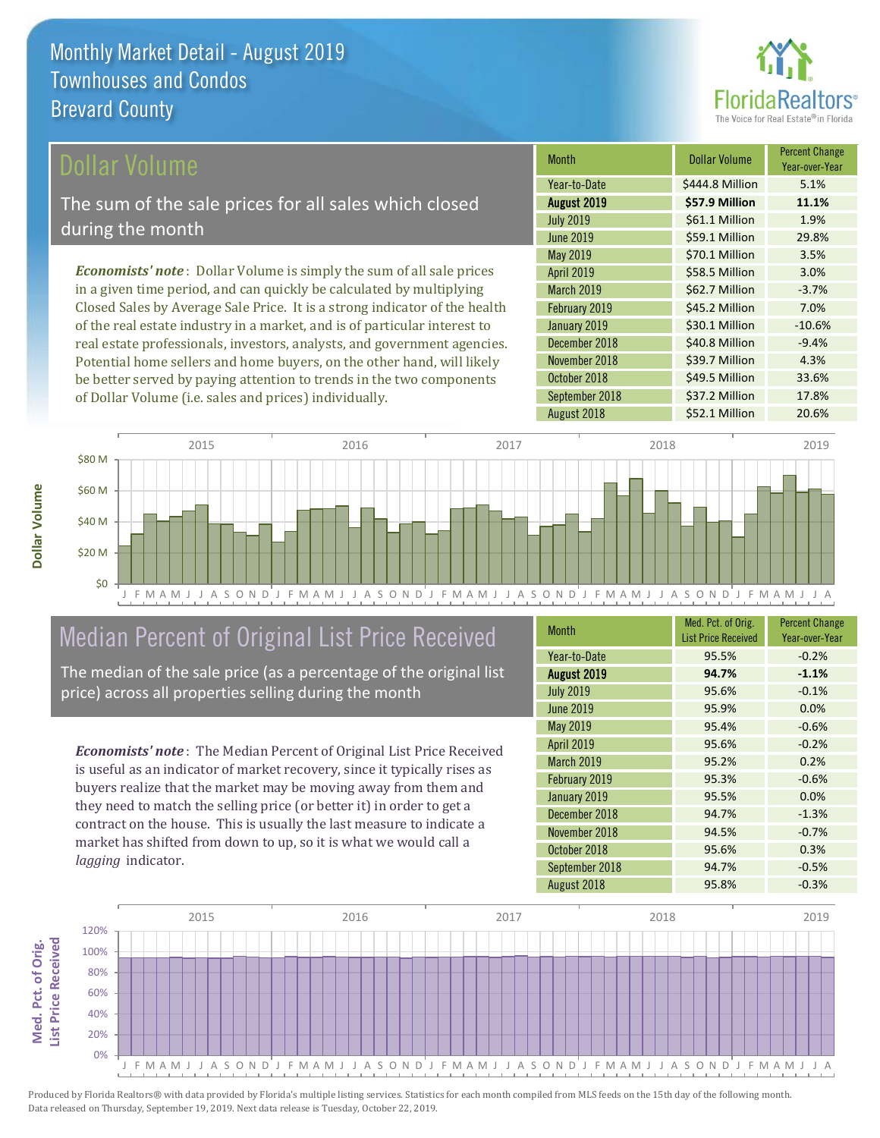

### Dollar Volume

The sum of the sale prices for all sales which closed during the month

*Economists' note* : Dollar Volume is simply the sum of all sale prices in a given time period, and can quickly be calculated by multiplying Closed Sales by Average Sale Price. It is a strong indicator of the health of the real estate industry in a market, and is of particular interest to real estate professionals, investors, analysts, and government agencies. Potential home sellers and home buyers, on the other hand, will likely be better served by paying attention to trends in the two components of Dollar Volume (i.e. sales and prices) individually.

| <b>Month</b>      | <b>Dollar Volume</b> | <b>Percent Change</b><br>Year-over-Year |
|-------------------|----------------------|-----------------------------------------|
| Year-to-Date      | \$444.8 Million      | 5.1%                                    |
| August 2019       | \$57.9 Million       | 11.1%                                   |
| <b>July 2019</b>  | \$61.1 Million       | 1.9%                                    |
| <b>June 2019</b>  | \$59.1 Million       | 29.8%                                   |
| <b>May 2019</b>   | \$70.1 Million       | 3.5%                                    |
| <b>April 2019</b> | \$58.5 Million       | 3.0%                                    |
| March 2019        | \$62.7 Million       | $-3.7%$                                 |
| February 2019     | \$45.2 Million       | 7.0%                                    |
| January 2019      | \$30.1 Million       | $-10.6%$                                |
| December 2018     | \$40.8 Million       | $-9.4%$                                 |
| November 2018     | \$39.7 Million       | 4.3%                                    |
| October 2018      | \$49.5 Million       | 33.6%                                   |
| September 2018    | \$37.2 Million       | 17.8%                                   |
| August 2018       | \$52.1 Million       | 20.6%                                   |



# Median Percent of Original List Price Received

The median of the sale price (as a percentage of the original list price) across all properties selling during the month

*Economists' note* : The Median Percent of Original List Price Received is useful as an indicator of market recovery, since it typically rises as buyers realize that the market may be moving away from them and they need to match the selling price (or better it) in order to get a contract on the house. This is usually the last measure to indicate a market has shifted from down to up, so it is what we would call a *lagging* indicator.

| <b>Month</b>     | Med. Pct. of Orig.         | <b>Percent Change</b> |
|------------------|----------------------------|-----------------------|
|                  | <b>List Price Received</b> | Year-over-Year        |
| Year-to-Date     | 95.5%                      | $-0.2%$               |
| August 2019      | 94.7%                      | $-1.1%$               |
| <b>July 2019</b> | 95.6%                      | $-0.1%$               |
| <b>June 2019</b> | 95.9%                      | 0.0%                  |
| May 2019         | 95.4%                      | $-0.6%$               |
| April 2019       | 95.6%                      | $-0.2%$               |
| March 2019       | 95.2%                      | 0.2%                  |
| February 2019    | 95.3%                      | $-0.6%$               |
| January 2019     | 95.5%                      | 0.0%                  |
| December 2018    | 94.7%                      | $-1.3%$               |
| November 2018    | 94.5%                      | $-0.7%$               |
| October 2018     | 95.6%                      | 0.3%                  |
| September 2018   | 94.7%                      | $-0.5%$               |
| August 2018      | 95.8%                      | $-0.3%$               |

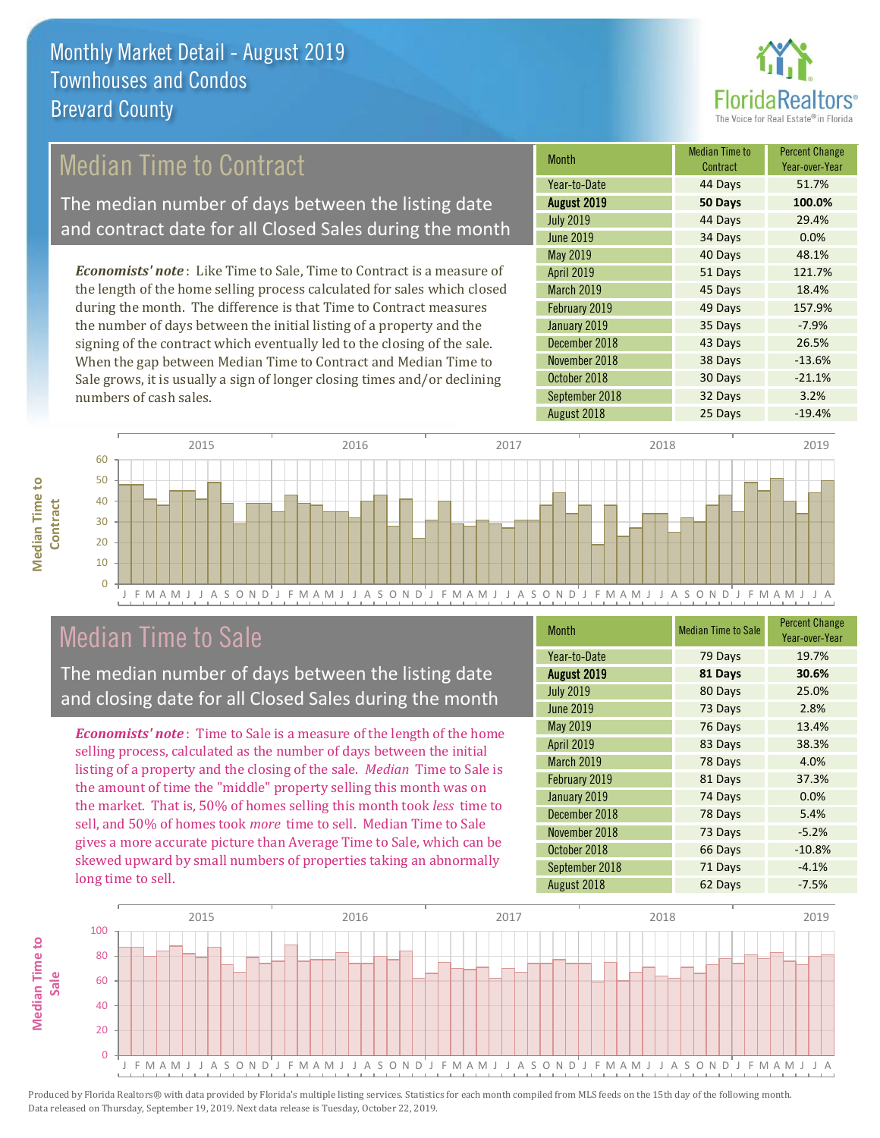

## Median Time to Contract

The median number of days between the listing date and contract date for all Closed Sales during the month

*Economists' note* : Like Time to Sale, Time to Contract is a measure of the length of the home selling process calculated for sales which closed during the month. The difference is that Time to Contract measures the number of days between the initial listing of a property and the signing of the contract which eventually led to the closing of the sale. When the gap between Median Time to Contract and Median Time to Sale grows, it is usually a sign of longer closing times and/or declining numbers of cash sales.

| <b>Month</b>      | <b>Median Time to</b><br>Contract | <b>Percent Change</b><br>Year-over-Year |
|-------------------|-----------------------------------|-----------------------------------------|
| Year-to-Date      | 44 Days                           | 51.7%                                   |
| August 2019       | 50 Days                           | 100.0%                                  |
| <b>July 2019</b>  | 44 Days                           | 29.4%                                   |
| <b>June 2019</b>  | 34 Days                           | 0.0%                                    |
| May 2019          | 40 Days                           | 48.1%                                   |
| <b>April 2019</b> | 51 Days                           | 121.7%                                  |
| March 2019        | 45 Days                           | 18.4%                                   |
| February 2019     | 49 Days                           | 157.9%                                  |
| January 2019      | 35 Days                           | $-7.9%$                                 |
| December 2018     | 43 Days                           | 26.5%                                   |
| November 2018     | 38 Days                           | $-13.6%$                                |
| October 2018      | 30 Days                           | $-21.1%$                                |
| September 2018    | 32 Days                           | 3.2%                                    |
| August 2018       | 25 Days                           | $-19.4%$                                |



### Median Time to Sale

**Median Time to** 

**Median Time to** 

The median number of days between the listing date and closing date for all Closed Sales during the month

*Economists' note* : Time to Sale is a measure of the length of the home selling process, calculated as the number of days between the initial listing of a property and the closing of the sale. *Median* Time to Sale is the amount of time the "middle" property selling this month was on the market. That is, 50% of homes selling this month took *less* time to sell, and 50% of homes took *more* time to sell. Median Time to Sale gives a more accurate picture than Average Time to Sale, which can be skewed upward by small numbers of properties taking an abnormally long time to sell.

| <b>Month</b>      | <b>Median Time to Sale</b> | <b>Percent Change</b><br>Year-over-Year |
|-------------------|----------------------------|-----------------------------------------|
| Year-to-Date      | 79 Days                    | 19.7%                                   |
| August 2019       | 81 Days                    | 30.6%                                   |
| <b>July 2019</b>  | 80 Days                    | 25.0%                                   |
| June 2019         | 73 Days                    | 2.8%                                    |
| May 2019          | 76 Days                    | 13.4%                                   |
| April 2019        | 83 Days                    | 38.3%                                   |
| <b>March 2019</b> | 78 Days                    | 4.0%                                    |
| February 2019     | 81 Days                    | 37.3%                                   |
| January 2019      | 74 Days                    | 0.0%                                    |
| December 2018     | 78 Days                    | 5.4%                                    |
| November 2018     | 73 Days                    | $-5.2%$                                 |
| October 2018      | 66 Days                    | $-10.8%$                                |
| September 2018    | 71 Days                    | $-4.1%$                                 |
| August 2018       | 62 Days                    | $-7.5%$                                 |

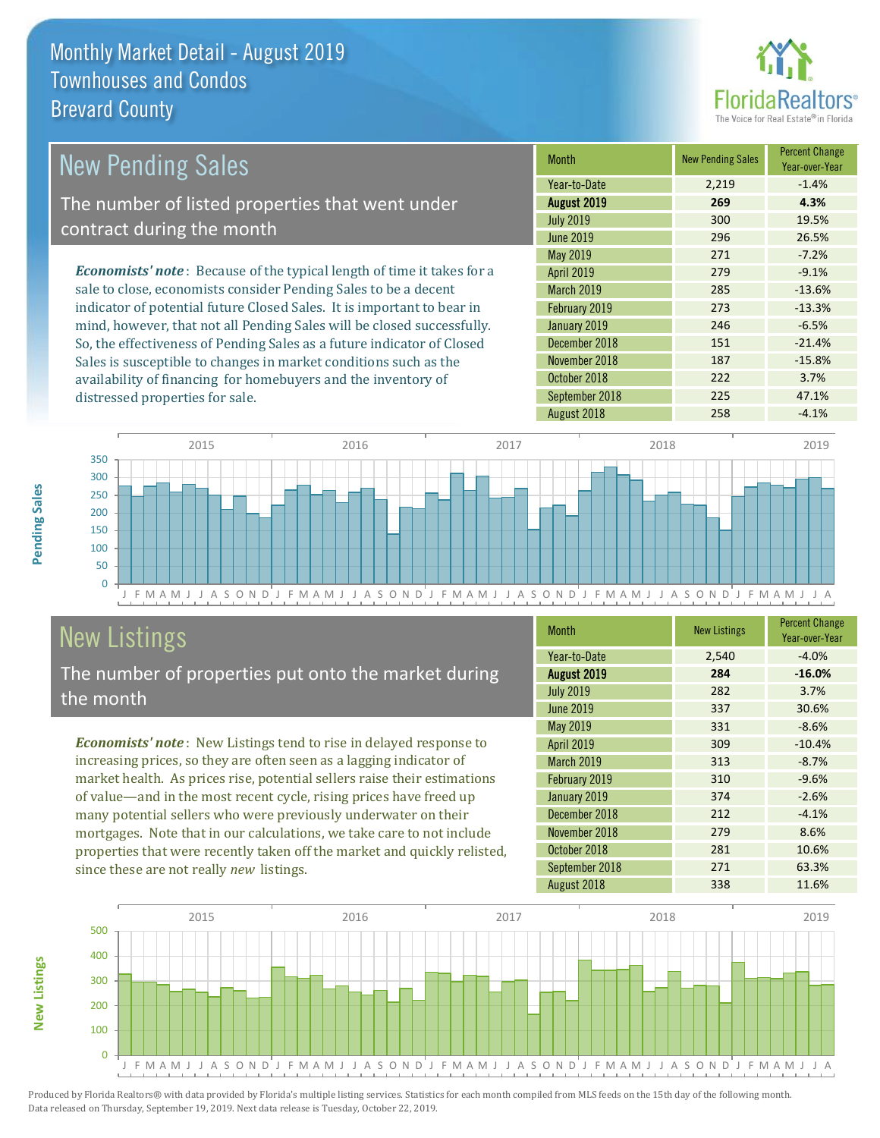

| New Pending Sales                                                              | <b>Month</b>      | <b>New Pending Sales</b> | <b>Percent Change</b><br>Year-over-Year |
|--------------------------------------------------------------------------------|-------------------|--------------------------|-----------------------------------------|
|                                                                                | Year-to-Date      | 2,219                    | $-1.4%$                                 |
| The number of listed properties that went under                                | August 2019       | 269                      | 4.3%                                    |
| contract during the month                                                      | <b>July 2019</b>  | 300                      | 19.5%                                   |
|                                                                                | June 2019         | 296                      | 26.5%                                   |
|                                                                                | May 2019          | 271                      | $-7.2%$                                 |
| <b>Economists' note</b> : Because of the typical length of time it takes for a | <b>April 2019</b> | 279                      | $-9.1%$                                 |
| sale to close, economists consider Pending Sales to be a decent                | <b>March 2019</b> | 285                      | $-13.6%$                                |
| indicator of potential future Closed Sales. It is important to bear in         | February 2019     | 273                      | $-13.3%$                                |
| mind, however, that not all Pending Sales will be closed successfully.         | January 2019      | 246                      | $-6.5%$                                 |
| So, the effectiveness of Pending Sales as a future indicator of Closed         | December 2018     | 151                      | $-21.4%$                                |
| Sales is susceptible to changes in market conditions such as the               | November 2018     | 187                      | $-15.8%$                                |
| availability of financing for homebuyers and the inventory of                  | October 2018      | 222                      | 3.7%                                    |



# New Listings

distressed properties for sale.

The number of properties put onto the market during the month

availability of financing for homebuyers and the inventory of

*Economists' note* : New Listings tend to rise in delayed response to increasing prices, so they are often seen as a lagging indicator of market health. As prices rise, potential sellers raise their estimations of value—and in the most recent cycle, rising prices have freed up many potential sellers who were previously underwater on their mortgages. Note that in our calculations, we take care to not include properties that were recently taken off the market and quickly relisted, since these are not really *new* listings.

| <b>Month</b>      | <b>New Listings</b> | <b>Percent Change</b><br>Year-over-Year |
|-------------------|---------------------|-----------------------------------------|
| Year-to-Date      | 2,540               | $-4.0%$                                 |
| August 2019       | 284                 | $-16.0%$                                |
| <b>July 2019</b>  | 282                 | 3.7%                                    |
| <b>June 2019</b>  | 337                 | 30.6%                                   |
| May 2019          | 331                 | $-8.6%$                                 |
| April 2019        | 309                 | $-10.4%$                                |
| <b>March 2019</b> | 313                 | $-8.7%$                                 |
| February 2019     | 310                 | $-9.6%$                                 |
| January 2019      | 374                 | $-2.6%$                                 |
| December 2018     | 212                 | $-4.1%$                                 |
| November 2018     | 279                 | 8.6%                                    |
| October 2018      | 281                 | 10.6%                                   |
| September 2018    | 271                 | 63.3%                                   |
| August 2018       | 338                 | 11.6%                                   |

September 2018 225 47.1% August 2018 **258** -4.1%



Produced by Florida Realtors® with data provided by Florida's multiple listing services. Statistics for each month compiled from MLS feeds on the 15th day of the following month. Data released on Thursday, September 19, 2019. Next data release is Tuesday, October 22, 2019.

**New Listings**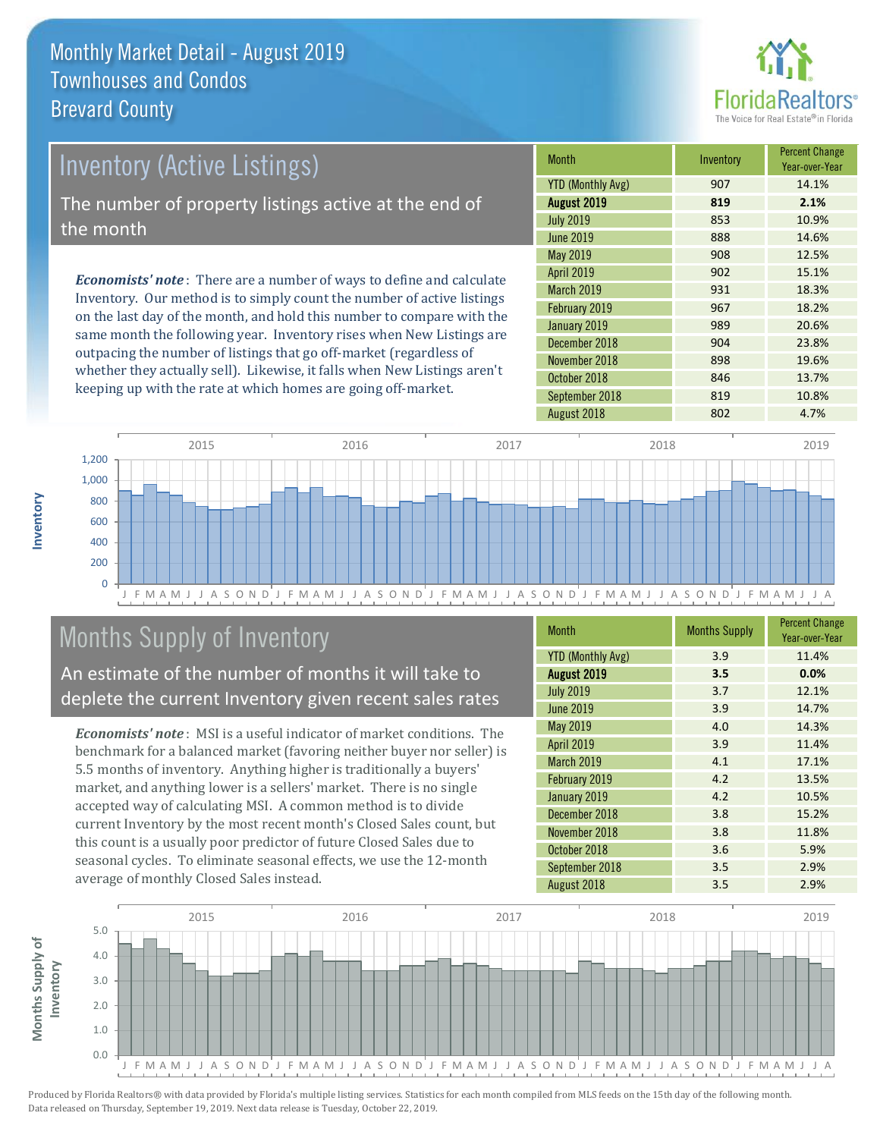

| <b>Inventory (Active Listings)</b><br>The number of property listings active at the end of<br>the month |  |                                                                                                 |          |
|---------------------------------------------------------------------------------------------------------|--|-------------------------------------------------------------------------------------------------|----------|
|                                                                                                         |  |                                                                                                 | May 2019 |
|                                                                                                         |  | <b>Economists' note</b> : There are a number of ways to define and calculate                    |          |
|                                                                                                         |  | Localitations - Account also different attended account that income have a Caratters Hatter are |          |

Inventory. Our method is to simply count the number of active listings on the last day of the month, and hold this number to compare with the same month the following year. Inventory rises when New Listings are outpacing the number of listings that go off-market (regardless of whether they actually sell). Likewise, it falls when New Listings aren't keeping up with the rate at which homes are going off-market.

| Month                    | Inventory | <b>Percent Change</b><br>Year-over-Year |
|--------------------------|-----------|-----------------------------------------|
| <b>YTD (Monthly Avg)</b> | 907       | 14.1%                                   |
| August 2019              | 819       | 2.1%                                    |
| <b>July 2019</b>         | 853       | 10.9%                                   |
| <b>June 2019</b>         | 888       | 14.6%                                   |
| May 2019                 | 908       | 12.5%                                   |
| <b>April 2019</b>        | 902       | 15.1%                                   |
| <b>March 2019</b>        | 931       | 18.3%                                   |
| February 2019            | 967       | 18.2%                                   |
| January 2019             | 989       | 20.6%                                   |
| December 2018            | 904       | 23.8%                                   |
| November 2018            | 898       | 19.6%                                   |
| October 2018             | 846       | 13.7%                                   |
| September 2018           | 819       | 10.8%                                   |
| August 2018              | 802       | 4.7%                                    |



# Months Supply of Inventory

An estimate of the number of months it will take to deplete the current Inventory given recent sales rates

*Economists' note* : MSI is a useful indicator of market conditions. The benchmark for a balanced market (favoring neither buyer nor seller) is 5.5 months of inventory. Anything higher is traditionally a buyers' market, and anything lower is a sellers' market. There is no single accepted way of calculating MSI. A common method is to divide current Inventory by the most recent month's Closed Sales count, but this count is a usually poor predictor of future Closed Sales due to seasonal cycles. To eliminate seasonal effects, we use the 12-month average of monthly Closed Sales instead.

| <b>Month</b>             | <b>Months Supply</b> | <b>Percent Change</b><br>Year-over-Year |
|--------------------------|----------------------|-----------------------------------------|
| <b>YTD (Monthly Avg)</b> | 3.9                  | 11.4%                                   |
| August 2019              | 3.5                  | 0.0%                                    |
| <b>July 2019</b>         | 3.7                  | 12.1%                                   |
| <b>June 2019</b>         | 3.9                  | 14.7%                                   |
| May 2019                 | 4.0                  | 14.3%                                   |
| April 2019               | 3.9                  | 11.4%                                   |
| <b>March 2019</b>        | 4.1                  | 17.1%                                   |
| February 2019            | 4.2                  | 13.5%                                   |
| January 2019             | 4.2                  | 10.5%                                   |
| December 2018            | 3.8                  | 15.2%                                   |
| November 2018            | 3.8                  | 11.8%                                   |
| October 2018             | 3.6                  | 5.9%                                    |
| September 2018           | 3.5                  | 2.9%                                    |
| August 2018              | 3.5                  | 2.9%                                    |

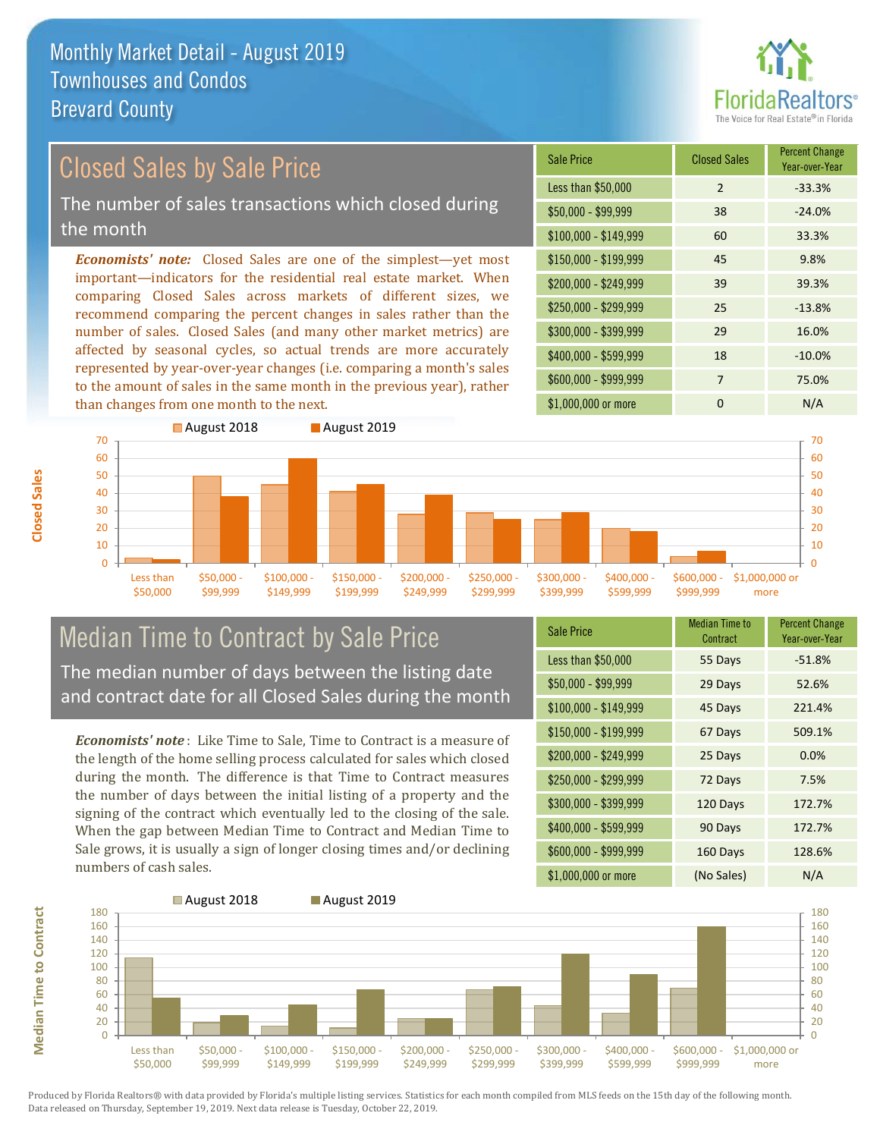

## Closed Sales by Sale Price

The number of sales transactions which closed during the month

*Economists' note:* Closed Sales are one of the simplest—yet most important—indicators for the residential real estate market. When comparing Closed Sales across markets of different sizes, we recommend comparing the percent changes in sales rather than the number of sales. Closed Sales (and many other market metrics) are affected by seasonal cycles, so actual trends are more accurately represented by year-over-year changes (i.e. comparing a month's sales to the amount of sales in the same month in the previous year), rather than changes from one month to the next.

| <b>Sale Price</b>     | <b>Closed Sales</b> | <b>Percent Change</b><br>Year-over-Year |
|-----------------------|---------------------|-----------------------------------------|
| Less than \$50,000    | 2                   | $-33.3%$                                |
| \$50,000 - \$99,999   | 38                  | $-24.0%$                                |
| $$100,000 - $149,999$ | 60                  | 33.3%                                   |
| $$150,000 - $199,999$ | 45                  | 9.8%                                    |
| \$200,000 - \$249,999 | 39                  | 39.3%                                   |
| \$250,000 - \$299,999 | 25                  | $-13.8%$                                |
| \$300,000 - \$399,999 | 29                  | 16.0%                                   |
| \$400,000 - \$599,999 | 18                  | $-10.0%$                                |
| \$600,000 - \$999,999 | 7                   | 75.0%                                   |
| \$1,000,000 or more   | ŋ                   | N/A                                     |



### Median Time to Contract by Sale Price The median number of days between the listing date

and contract date for all Closed Sales during the month

*Economists' note* : Like Time to Sale, Time to Contract is a measure of the length of the home selling process calculated for sales which closed during the month. The difference is that Time to Contract measures the number of days between the initial listing of a property and the signing of the contract which eventually led to the closing of the sale. When the gap between Median Time to Contract and Median Time to Sale grows, it is usually a sign of longer closing times and/or declining numbers of cash sales.

| <b>Sale Price</b>     | <b>Median Time to</b><br>Contract | <b>Percent Change</b><br>Year-over-Year |
|-----------------------|-----------------------------------|-----------------------------------------|
| Less than \$50,000    | 55 Days                           | $-51.8%$                                |
| \$50,000 - \$99,999   | 29 Days                           | 52.6%                                   |
| $$100,000 - $149,999$ | 45 Days                           | 221.4%                                  |
| $$150,000 - $199,999$ | 67 Days                           | 509.1%                                  |
| \$200,000 - \$249,999 | 25 Days                           | 0.0%                                    |
| \$250,000 - \$299,999 | 72 Days                           | 7.5%                                    |
| \$300,000 - \$399,999 | 120 Days                          | 172.7%                                  |
| \$400,000 - \$599,999 | 90 Days                           | 172.7%                                  |
| \$600,000 - \$999,999 | 160 Days                          | 128.6%                                  |
| \$1,000,000 or more   | (No Sales)                        | N/A                                     |



Produced by Florida Realtors® with data provided by Florida's multiple listing services. Statistics for each month compiled from MLS feeds on the 15th day of the following month. Data released on Thursday, September 19, 2019. Next data release is Tuesday, October 22, 2019.

**Median Time to Contract**

**Median Time to Contract**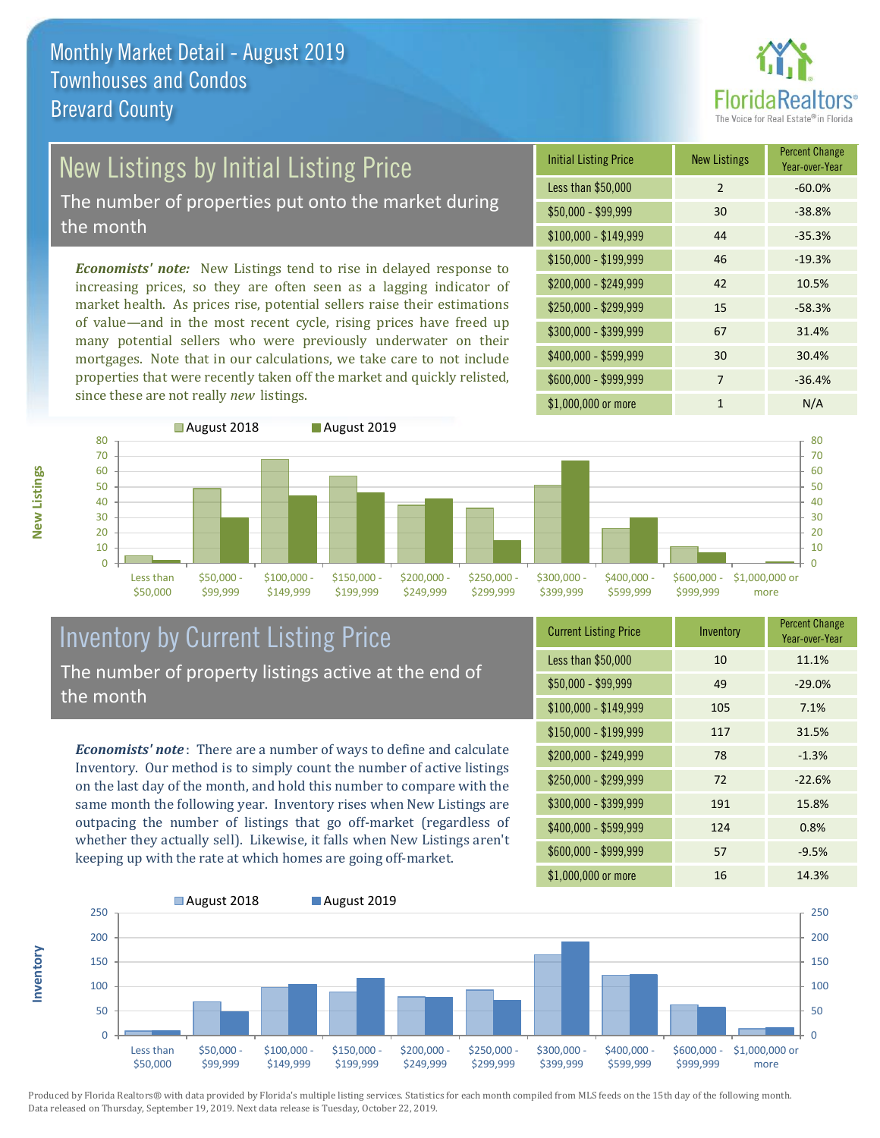

# New Listings by Initial Listing Price

The number of properties put onto the market during the month

*Economists' note:* New Listings tend to rise in delayed response to increasing prices, so they are often seen as a lagging indicator of market health. As prices rise, potential sellers raise their estimations of value—and in the most recent cycle, rising prices have freed up many potential sellers who were previously underwater on their mortgages. Note that in our calculations, we take care to not include properties that were recently taken off the market and quickly relisted, since these are not really *new* listings.

| <b>Initial Listing Price</b> | <b>New Listings</b> | <b>Percent Change</b><br>Year-over-Year |
|------------------------------|---------------------|-----------------------------------------|
| Less than \$50,000           | $\overline{2}$      | $-60.0%$                                |
| $$50,000 - $99,999$          | 30                  | $-38.8%$                                |
| $$100,000 - $149,999$        | 44                  | $-35.3%$                                |
| $$150,000 - $199,999$        | 46                  | $-19.3%$                                |
| \$200,000 - \$249,999        | 42                  | 10.5%                                   |
| \$250,000 - \$299,999        | 15                  | $-58.3%$                                |
| \$300,000 - \$399,999        | 67                  | 31.4%                                   |
| \$400,000 - \$599,999        | 30                  | 30.4%                                   |
| \$600,000 - \$999,999        | 7                   | $-36.4%$                                |
| \$1,000,000 or more          | 1                   | N/A                                     |



### Inventory by Current Listing Price The number of property listings active at the end of the month

*Economists' note* : There are a number of ways to define and calculate Inventory. Our method is to simply count the number of active listings on the last day of the month, and hold this number to compare with the same month the following year. Inventory rises when New Listings are outpacing the number of listings that go off-market (regardless of whether they actually sell). Likewise, it falls when New Listings aren't keeping up with the rate at which homes are going off-market.

| <b>Current Listing Price</b> | Inventory | <b>Percent Change</b><br>Year-over-Year |
|------------------------------|-----------|-----------------------------------------|
| Less than \$50,000           | 10        | 11.1%                                   |
| $$50,000 - $99,999$          | 49        | $-29.0%$                                |
| $$100,000 - $149,999$        | 105       | 7.1%                                    |
| $$150,000 - $199,999$        | 117       | 31.5%                                   |
| \$200,000 - \$249,999        | 78        | $-1.3%$                                 |
| \$250,000 - \$299,999        | 72        | $-22.6%$                                |
| \$300,000 - \$399,999        | 191       | 15.8%                                   |
| $$400,000 - $599,999$        | 124       | 0.8%                                    |
| \$600,000 - \$999,999        | 57        | $-9.5%$                                 |
| \$1,000,000 or more          | 16        | 14.3%                                   |



Produced by Florida Realtors® with data provided by Florida's multiple listing services. Statistics for each month compiled from MLS feeds on the 15th day of the following month. Data released on Thursday, September 19, 2019. Next data release is Tuesday, October 22, 2019.

**Inventory**